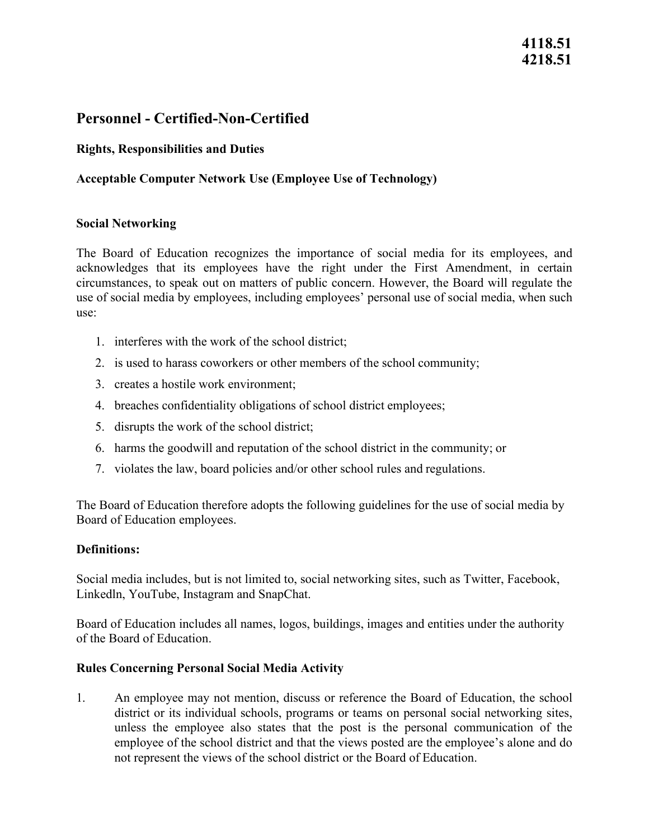# **4118.51 4218.51**

# **Personnel - Certified-Non-Certified**

## **Rights, Responsibilities and Duties**

## **Acceptable Computer Network Use (Employee Use of Technology)**

### **Social Networking**

The Board of Education recognizes the importance of social media for its employees, and acknowledges that its employees have the right under the First Amendment, in certain circumstances, to speak out on matters of public concern. However, the Board will regulate the use of social media by employees, including employees' personal use of social media, when such use:

- 1. interferes with the work of the school district;
- 2. is used to harass coworkers or other members of the school community;
- 3. creates a hostile work environment;
- 4. breaches confidentiality obligations of school district employees;
- 5. disrupts the work of the school district;
- 6. harms the goodwill and reputation of the school district in the community; or
- 7. violates the law, board policies and/or other school rules and regulations.

The Board of Education therefore adopts the following guidelines for the use of social media by Board of Education employees.

#### **Definitions:**

Social media includes, but is not limited to, social networking sites, such as Twitter, Facebook, Linkedln, YouTube, Instagram and SnapChat.

Board of Education includes all names, logos, buildings, images and entities under the authority of the Board of Education.

#### **Rules Concerning Personal Social Media Activity**

 not represent the views of the school district or the Board of Education. 1. An employee may not mention, discuss or reference the Board of Education, the school district or its individual schools, programs or teams on personal social networking sites, unless the employee also states that the post is the personal communication of the employee of the school district and that the views posted are the employee's alone and do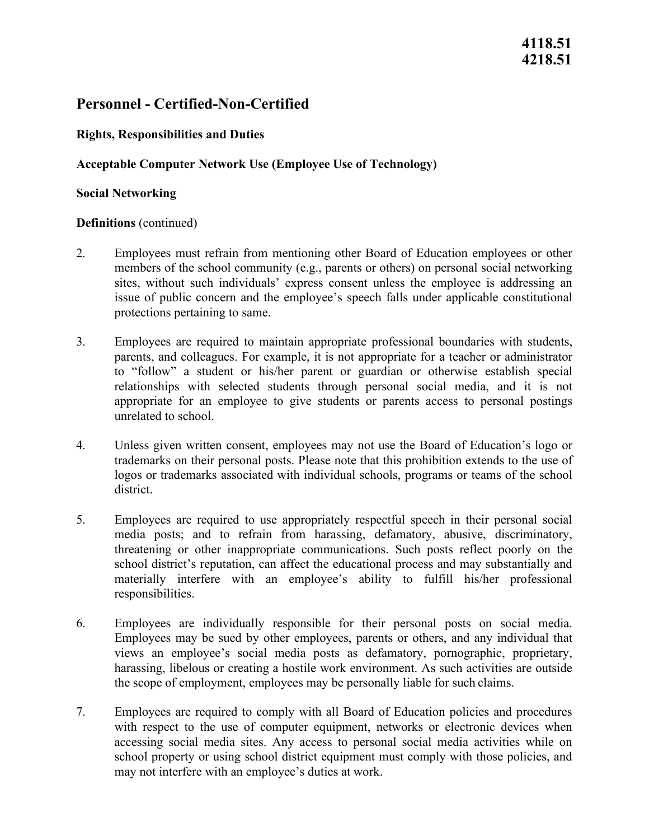# **Personnel - Certified-Non-Certified**

## **Rights, Responsibilities and Duties**

## **Acceptable Computer Network Use (Employee Use of Technology)**

### **Social Networking**

### **Definitions** (continued)

- protections pertaining to same. 2. Employees must refrain from mentioning other Board of Education employees or other members of the school community (e.g., parents or others) on personal social networking sites, without such individuals' express consent unless the employee is addressing an issue of public concern and the employee's speech falls under applicable constitutional
- parents, and colleagues. For example, it is not appropriate for a teacher or administrator unrelated to school. 3. Employees are required to maintain appropriate professional boundaries with students, to "follow" a student or his/her parent or guardian or otherwise establish special relationships with selected students through personal social media, and it is not appropriate for an employee to give students or parents access to personal postings
- 4. Unless given written consent, employees may not use the Board of Education's logo or trademarks on their personal posts. Please note that this prohibition extends to the use of logos or trademarks associated with individual schools, programs or teams of the school district.
- 5. Employees are required to use appropriately respectful speech in their personal social media posts; and to refrain from harassing, defamatory, abusive, discriminatory, threatening or other inappropriate communications. Such posts reflect poorly on the school district's reputation, can affect the educational process and may substantially and materially interfere with an employee's ability to fulfill his/her professional responsibilities.
- the scope of employment, employees may be personally liable for such claims. 6. Employees are individually responsible for their personal posts on social media. Employees may be sued by other employees, parents or others, and any individual that views an employee's social media posts as defamatory, pornographic, proprietary, harassing, libelous or creating a hostile work environment. As such activities are outside
- may not interfere with an employee's duties at work. 7. Employees are required to comply with all Board of Education policies and procedures with respect to the use of computer equipment, networks or electronic devices when accessing social media sites. Any access to personal social media activities while on school property or using school district equipment must comply with those policies, and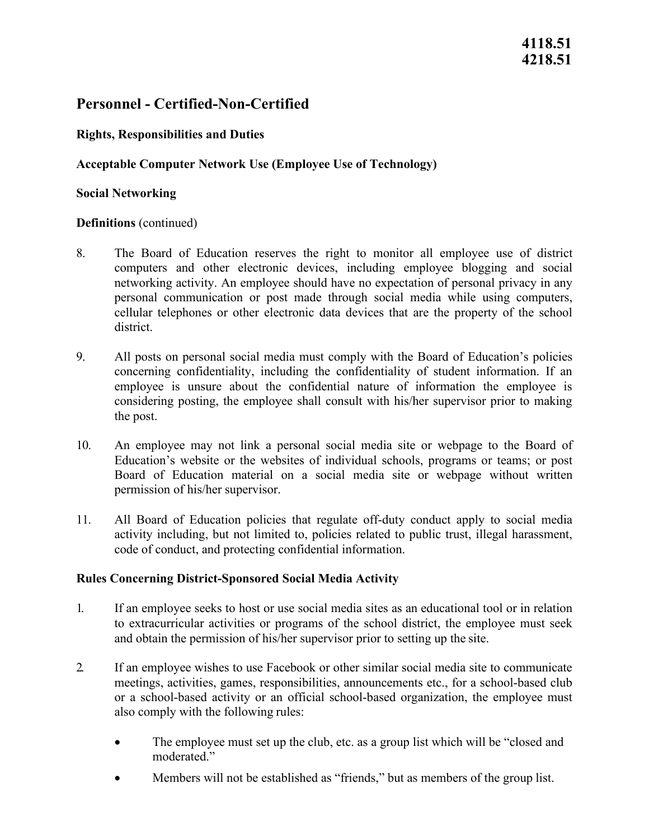# **Personnel - Certified-Non-Certified**

## **Rights, Responsibilities and Duties**

## **Acceptable Computer Network Use (Employee Use of Technology)**

### **Social Networking**

### **Definitions** (continued)

- 8. The Board of Education reserves the right to monitor all employee use of district computers and other electronic devices, including employee blogging and social networking activity. An employee should have no expectation of personal privacy in any personal communication or post made through social media while using computers, cellular telephones or other electronic data devices that are the property of the school district.
- concerning confidentiality, including the confidentiality of student information. If an the post. 9. All posts on personal social media must comply with the Board of Education's policies employee is unsure about the confidential nature of information the employee is considering posting, the employee shall consult with his/her supervisor prior to making
- permission of his/her supervisor. 10. An employee may not link a personal social media site or webpage to the Board of Education's website or the websites of individual schools, programs or teams; or post Board of Education material on a social media site or webpage without written
- code of conduct, and protecting confidential information. 11. All Board of Education policies that regulate off-duty conduct apply to social media activity including, but not limited to, policies related to public trust, illegal harassment,

### **Rules Concerning District-Sponsored Social Media Activity**

- and obtain the permission of his/her supervisor prior to setting up the site. 1. If an employee seeks to host or use social media sites as an educational tool or in relation to extracurricular activities or programs of the school district, the employee must seek
- meetings, activities, games, responsibilities, announcements etc., for a school-based club also comply with the following rules: 2. If an employee wishes to use Facebook or other similar social media site to communicate or a school-based activity or an official school-based organization, the employee must
	- The employee must set up the club, etc. as a group list which will be "closed and" moderated."
	- Members will not be established as "friends," but as members of the group list.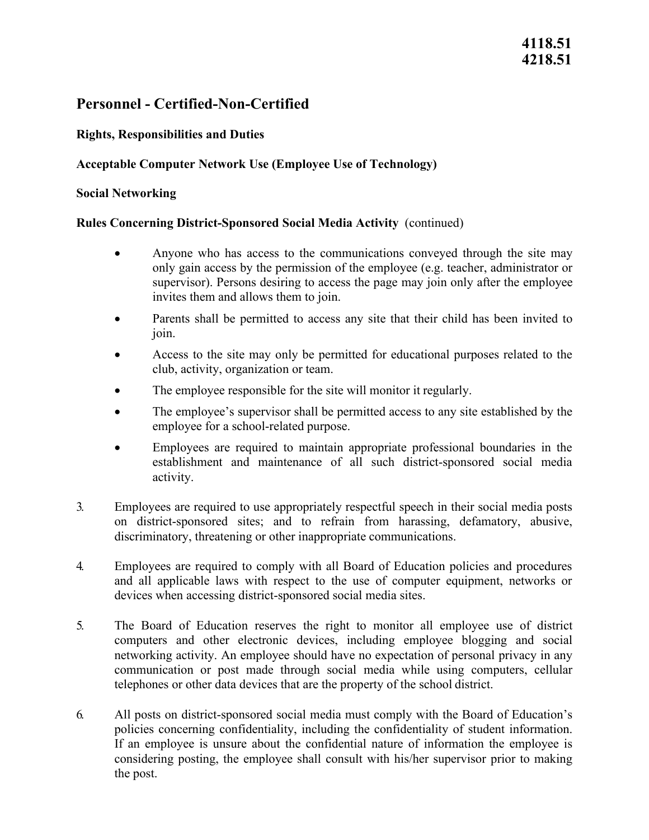# **4118.51 4218.51**

# **Personnel - Certified-Non-Certified**

## **Rights, Responsibilities and Duties**

## **Acceptable Computer Network Use (Employee Use of Technology)**

### **Social Networking**

### **Rules Concerning District-Sponsored Social Media Activity** (continued)

- supervisor). Persons desiring to access the page may join only after the employee invites them and allows them to join. • Anyone who has access to the communications conveyed through the site may only gain access by the permission of the employee (e.g. teacher, administrator or
- Parents shall be permitted to access any site that their child has been invited to join.
- club, activity, organization or team. • Access to the site may only be permitted for educational purposes related to the
- The employee responsible for the site will monitor it regularly.
- employee for a school-related purpose. • The employee's supervisor shall be permitted access to any site established by the
- Employees are required to maintain appropriate professional boundaries in the establishment and maintenance of all such district-sponsored social media activity.
- 3. Employees are required to use appropriately respectful speech in their social media posts on district-sponsored sites; and to refrain from harassing, defamatory, abusive, discriminatory, threatening or other inappropriate communications.
- devices when accessing district-sponsored social media sites. 4. Employees are required to comply with all Board of Education policies and procedures and all applicable laws with respect to the use of computer equipment, networks or
- telephones or other data devices that are the property of the school district. 5. The Board of Education reserves the right to monitor all employee use of district computers and other electronic devices, including employee blogging and social networking activity. An employee should have no expectation of personal privacy in any communication or post made through social media while using computers, cellular
- considering posting, the employee shall consult with his/her supervisor prior to making the post. 6. All posts on district-sponsored social media must comply with the Board of Education's policies concerning confidentiality, including the confidentiality of student information. If an employee is unsure about the confidential nature of information the employee is